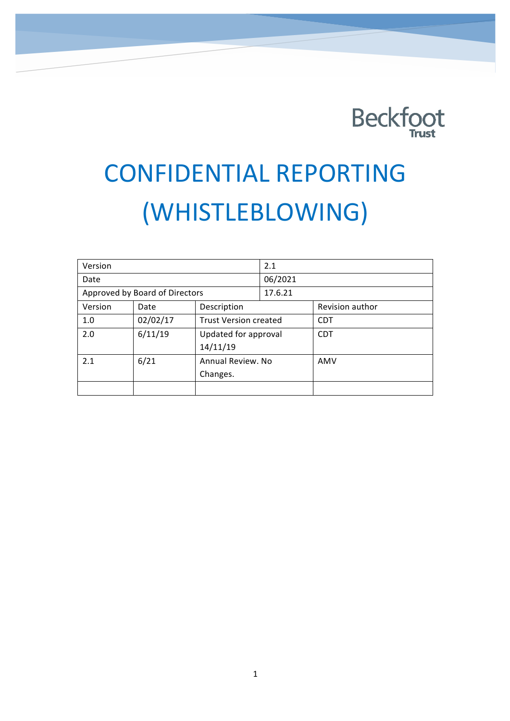

# CONFIDENTIAL REPORTING (WHISTLEBLOWING)

| Version                        |          |                              | 2.1     |                 |
|--------------------------------|----------|------------------------------|---------|-----------------|
| Date                           |          |                              | 06/2021 |                 |
| Approved by Board of Directors |          |                              | 17.6.21 |                 |
| Version                        | Date     | Description                  |         | Revision author |
| 1.0                            | 02/02/17 | <b>Trust Version created</b> |         | <b>CDT</b>      |
| 2.0                            | 6/11/19  | Updated for approval         |         | <b>CDT</b>      |
|                                |          | 14/11/19                     |         |                 |
| 2.1                            | 6/21     | Annual Review. No            |         | AMV             |
|                                |          | Changes.                     |         |                 |
|                                |          |                              |         |                 |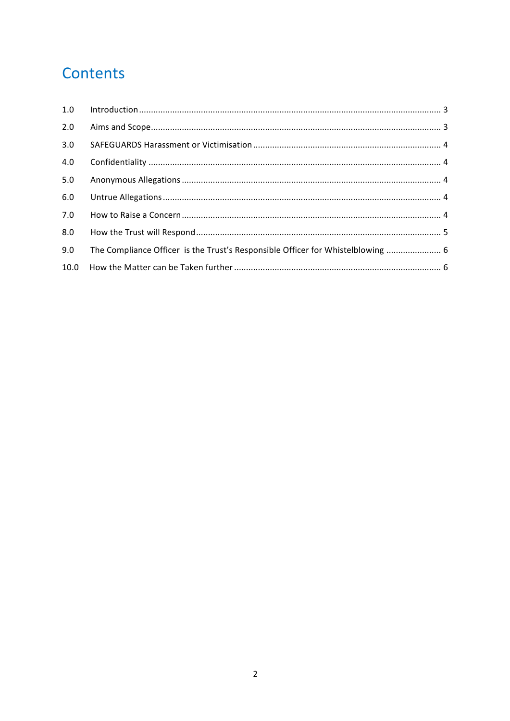# Contents

| 1.0 |                                                                                 |  |
|-----|---------------------------------------------------------------------------------|--|
| 2.0 |                                                                                 |  |
| 3.0 |                                                                                 |  |
| 4.0 |                                                                                 |  |
| 5.0 |                                                                                 |  |
| 6.0 |                                                                                 |  |
| 7.0 |                                                                                 |  |
| 8.0 |                                                                                 |  |
| 9.0 | The Compliance Officer is the Trust's Responsible Officer for Whistelblowing  6 |  |
|     |                                                                                 |  |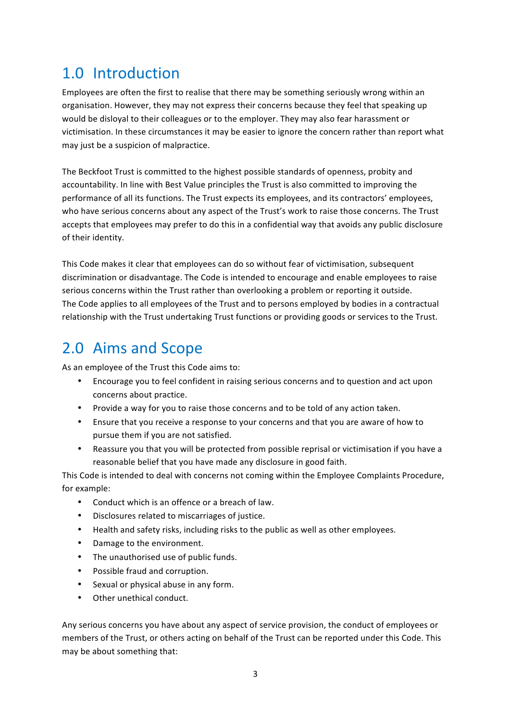#### 1.0 Introduction

Employees are often the first to realise that there may be something seriously wrong within an organisation. However, they may not express their concerns because they feel that speaking up would be disloyal to their colleagues or to the employer. They may also fear harassment or victimisation. In these circumstances it may be easier to ignore the concern rather than report what may just be a suspicion of malpractice.

The Beckfoot Trust is committed to the highest possible standards of openness, probity and accountability. In line with Best Value principles the Trust is also committed to improving the performance of all its functions. The Trust expects its employees, and its contractors' employees, who have serious concerns about any aspect of the Trust's work to raise those concerns. The Trust accepts that employees may prefer to do this in a confidential way that avoids any public disclosure of their identity.

This Code makes it clear that employees can do so without fear of victimisation, subsequent discrimination or disadvantage. The Code is intended to encourage and enable employees to raise serious concerns within the Trust rather than overlooking a problem or reporting it outside. The Code applies to all employees of the Trust and to persons employed by bodies in a contractual relationship with the Trust undertaking Trust functions or providing goods or services to the Trust.

#### 2.0 Aims and Scope

As an employee of the Trust this Code aims to:

- Encourage you to feel confident in raising serious concerns and to question and act upon concerns about practice.
- Provide a way for you to raise those concerns and to be told of any action taken.
- Ensure that you receive a response to your concerns and that you are aware of how to pursue them if you are not satisfied.
- Reassure you that you will be protected from possible reprisal or victimisation if you have a reasonable belief that you have made any disclosure in good faith.

This Code is intended to deal with concerns not coming within the Employee Complaints Procedure, for example:

- Conduct which is an offence or a breach of law.
- Disclosures related to miscarriages of justice.
- Health and safety risks, including risks to the public as well as other employees.
- Damage to the environment.
- The unauthorised use of public funds.
- Possible fraud and corruption.
- Sexual or physical abuse in any form.
- Other unethical conduct.

Any serious concerns you have about any aspect of service provision, the conduct of employees or members of the Trust, or others acting on behalf of the Trust can be reported under this Code. This may be about something that: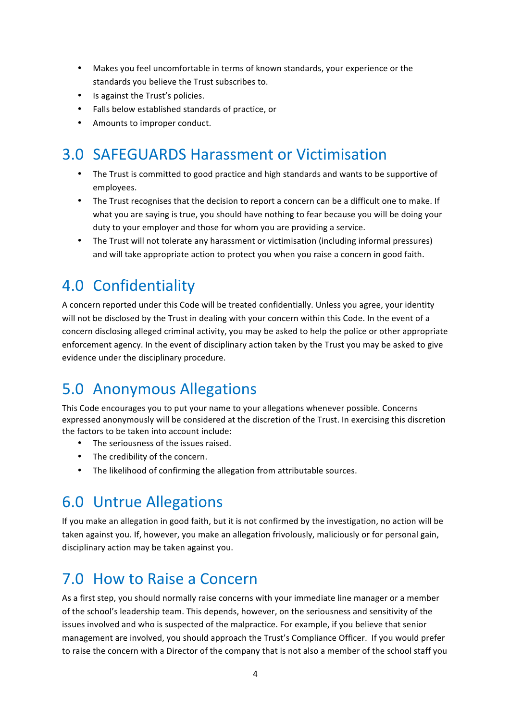- Makes you feel uncomfortable in terms of known standards, your experience or the standards you believe the Trust subscribes to.
- Is against the Trust's policies.
- Falls below established standards of practice, or
- Amounts to improper conduct.

## 3.0 SAFEGUARDS Harassment or Victimisation

- The Trust is committed to good practice and high standards and wants to be supportive of employees.
- The Trust recognises that the decision to report a concern can be a difficult one to make. If what you are saying is true, you should have nothing to fear because you will be doing your duty to your employer and those for whom you are providing a service.
- The Trust will not tolerate any harassment or victimisation (including informal pressures) and will take appropriate action to protect you when you raise a concern in good faith.

## 4.0 Confidentiality

A concern reported under this Code will be treated confidentially. Unless you agree, your identity will not be disclosed by the Trust in dealing with your concern within this Code. In the event of a concern disclosing alleged criminal activity, you may be asked to help the police or other appropriate enforcement agency. In the event of disciplinary action taken by the Trust you may be asked to give evidence under the disciplinary procedure.

#### 5.0 Anonymous Allegations

This Code encourages you to put your name to your allegations whenever possible. Concerns expressed anonymously will be considered at the discretion of the Trust. In exercising this discretion the factors to be taken into account include:

- The seriousness of the issues raised.
- The credibility of the concern.
- The likelihood of confirming the allegation from attributable sources.

#### 6.0 Untrue Allegations

If you make an allegation in good faith, but it is not confirmed by the investigation, no action will be taken against you. If, however, you make an allegation frivolously, maliciously or for personal gain, disciplinary action may be taken against you.

#### 7.0 How to Raise a Concern

As a first step, you should normally raise concerns with your immediate line manager or a member of the school's leadership team. This depends, however, on the seriousness and sensitivity of the issues involved and who is suspected of the malpractice. For example, if you believe that senior management are involved, you should approach the Trust's Compliance Officer. If you would prefer to raise the concern with a Director of the company that is not also a member of the school staff you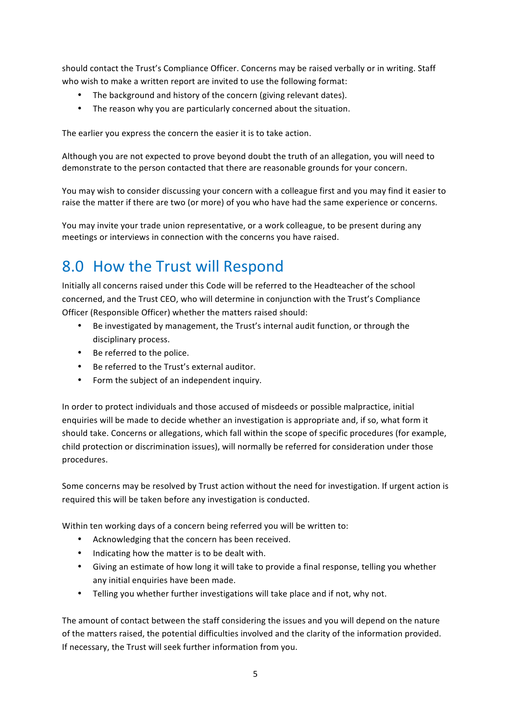should contact the Trust's Compliance Officer. Concerns may be raised verbally or in writing. Staff who wish to make a written report are invited to use the following format:

- The background and history of the concern (giving relevant dates).
- The reason why you are particularly concerned about the situation.

The earlier you express the concern the easier it is to take action.

Although you are not expected to prove beyond doubt the truth of an allegation, you will need to demonstrate to the person contacted that there are reasonable grounds for your concern.

You may wish to consider discussing your concern with a colleague first and you may find it easier to raise the matter if there are two (or more) of you who have had the same experience or concerns.

You may invite your trade union representative, or a work colleague, to be present during any meetings or interviews in connection with the concerns you have raised.

# 8.0 How the Trust will Respond

Initially all concerns raised under this Code will be referred to the Headteacher of the school concerned, and the Trust CEO, who will determine in conjunction with the Trust's Compliance Officer (Responsible Officer) whether the matters raised should:

- Be investigated by management, the Trust's internal audit function, or through the disciplinary process.
- Be referred to the police.
- Be referred to the Trust's external auditor.
- Form the subject of an independent inquiry.

In order to protect individuals and those accused of misdeeds or possible malpractice, initial enquiries will be made to decide whether an investigation is appropriate and, if so, what form it should take. Concerns or allegations, which fall within the scope of specific procedures (for example, child protection or discrimination issues), will normally be referred for consideration under those procedures.

Some concerns may be resolved by Trust action without the need for investigation. If urgent action is required this will be taken before any investigation is conducted.

Within ten working days of a concern being referred you will be written to:

- Acknowledging that the concern has been received.
- Indicating how the matter is to be dealt with.
- Giving an estimate of how long it will take to provide a final response, telling you whether any initial enquiries have been made.
- Telling you whether further investigations will take place and if not, why not.

The amount of contact between the staff considering the issues and you will depend on the nature of the matters raised, the potential difficulties involved and the clarity of the information provided. If necessary, the Trust will seek further information from you.